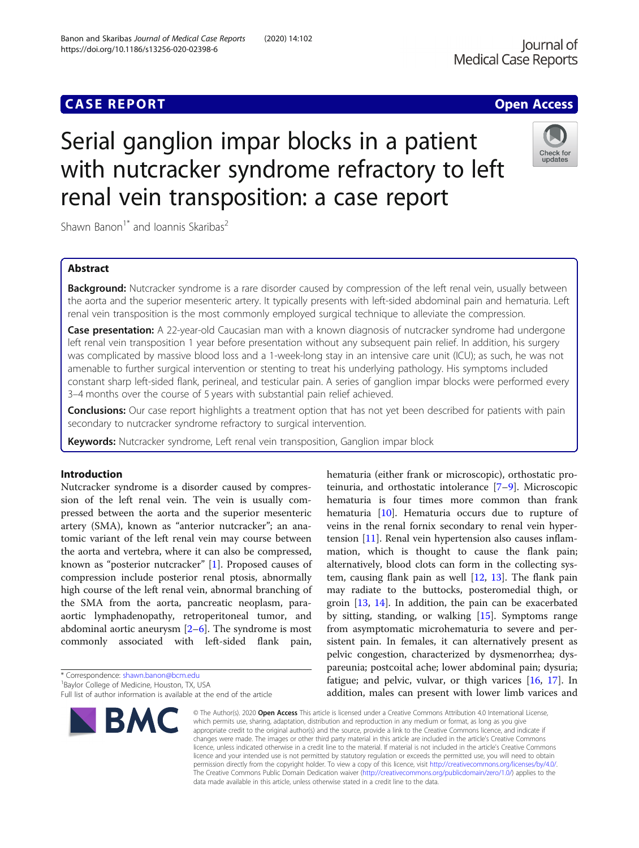## **CASE REPORT CASE ACCESS**

# Serial ganglion impar blocks in a patient with nutcracker syndrome refractory to left renal vein transposition: a case report

Shawn Banon<sup>1\*</sup> and Ioannis Skaribas<sup>2</sup>

## Abstract

Background: Nutcracker syndrome is a rare disorder caused by compression of the left renal vein, usually between the aorta and the superior mesenteric artery. It typically presents with left-sided abdominal pain and hematuria. Left renal vein transposition is the most commonly employed surgical technique to alleviate the compression.

**Case presentation:** A 22-year-old Caucasian man with a known diagnosis of nutcracker syndrome had undergone left renal vein transposition 1 year before presentation without any subsequent pain relief. In addition, his surgery was complicated by massive blood loss and a 1-week-long stay in an intensive care unit (ICU); as such, he was not amenable to further surgical intervention or stenting to treat his underlying pathology. His symptoms included constant sharp left-sided flank, perineal, and testicular pain. A series of ganglion impar blocks were performed every 3–4 months over the course of 5 years with substantial pain relief achieved.

Conclusions: Our case report highlights a treatment option that has not yet been described for patients with pain secondary to nutcracker syndrome refractory to surgical intervention.

Keywords: Nutcracker syndrome, Left renal vein transposition, Ganglion impar block

## Introduction

Nutcracker syndrome is a disorder caused by compression of the left renal vein. The vein is usually compressed between the aorta and the superior mesenteric artery (SMA), known as "anterior nutcracker"; an anatomic variant of the left renal vein may course between the aorta and vertebra, where it can also be compressed, known as "posterior nutcracker" [[1\]](#page-3-0). Proposed causes of compression include posterior renal ptosis, abnormally high course of the left renal vein, abnormal branching of the SMA from the aorta, pancreatic neoplasm, paraaortic lymphadenopathy, retroperitoneal tumor, and abdominal aortic aneurysm  $[2-6]$  $[2-6]$  $[2-6]$  $[2-6]$  $[2-6]$ . The syndrome is most commonly associated with left-sided flank pain,

\* Correspondence: [shawn.banon@bcm.edu](mailto:shawn.banon@bcm.edu) <sup>1</sup>

<sup>1</sup>Baylor College of Medicine, Houston, TX, USA

BMC

addition, males can present with lower limb varices and © The Author(s), 2020 **Open Access** This article is licensed under a Creative Commons Attribution 4.0 International License, which permits use, sharing, adaptation, distribution and reproduction in any medium or format, as long as you give appropriate credit to the original author(s) and the source, provide a link to the Creative Commons licence, and indicate if changes were made. The images or other third party material in this article are included in the article's Creative Commons licence, unless indicated otherwise in a credit line to the material. If material is not included in the article's Creative Commons licence and your intended use is not permitted by statutory regulation or exceeds the permitted use, you will need to obtain permission directly from the copyright holder. To view a copy of this licence, visit [http://creativecommons.org/licenses/by/4.0/.](http://creativecommons.org/licenses/by/4.0/) The Creative Commons Public Domain Dedication waiver [\(http://creativecommons.org/publicdomain/zero/1.0/](http://creativecommons.org/publicdomain/zero/1.0/)) applies to the data made available in this article, unless otherwise stated in a credit line to the data.

hematuria (either frank or microscopic), orthostatic proteinuria, and orthostatic intolerance [[7](#page-3-0)–[9\]](#page-3-0). Microscopic hematuria is four times more common than frank hematuria [\[10](#page-3-0)]. Hematuria occurs due to rupture of veins in the renal fornix secondary to renal vein hypertension [[11\]](#page-3-0). Renal vein hypertension also causes inflammation, which is thought to cause the flank pain; alternatively, blood clots can form in the collecting system, causing flank pain as well  $[12, 13]$  $[12, 13]$  $[12, 13]$  $[12, 13]$ . The flank pain may radiate to the buttocks, posteromedial thigh, or groin [\[13](#page-3-0), [14\]](#page-3-0). In addition, the pain can be exacerbated by sitting, standing, or walking  $[15]$  $[15]$  $[15]$ . Symptoms range from asymptomatic microhematuria to severe and persistent pain. In females, it can alternatively present as pelvic congestion, characterized by dysmenorrhea; dyspareunia; postcoital ache; lower abdominal pain; dysuria; fatigue; and pelvic, vulvar, or thigh varices [[16,](#page-3-0) [17](#page-3-0)]. In







Full list of author information is available at the end of the article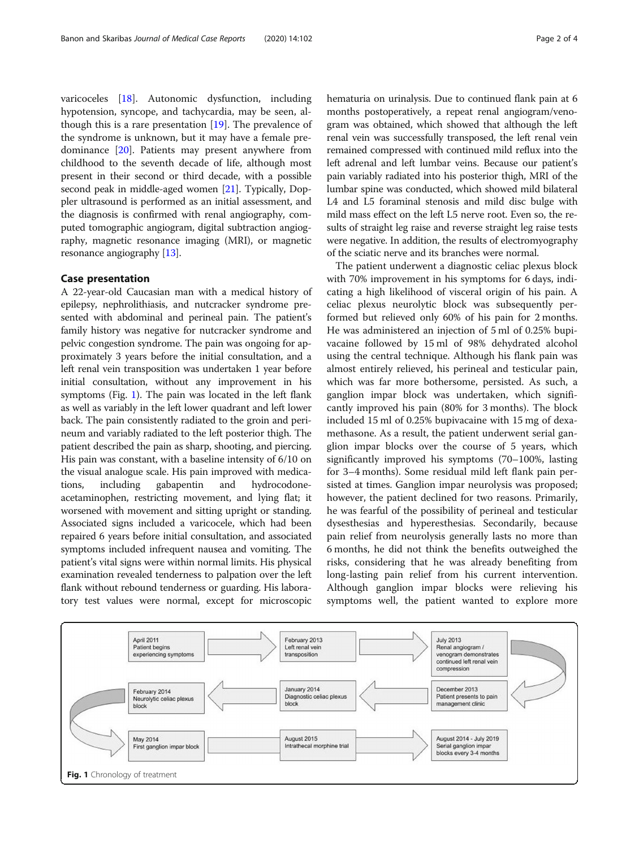varicoceles [\[18](#page-3-0)]. Autonomic dysfunction, including hypotension, syncope, and tachycardia, may be seen, although this is a rare presentation  $[19]$  $[19]$ . The prevalence of the syndrome is unknown, but it may have a female predominance [\[20](#page-3-0)]. Patients may present anywhere from childhood to the seventh decade of life, although most present in their second or third decade, with a possible second peak in middle-aged women [[21\]](#page-3-0). Typically, Doppler ultrasound is performed as an initial assessment, and the diagnosis is confirmed with renal angiography, computed tomographic angiogram, digital subtraction angiography, magnetic resonance imaging (MRI), or magnetic resonance angiography [\[13\]](#page-3-0).

## Case presentation

A 22-year-old Caucasian man with a medical history of epilepsy, nephrolithiasis, and nutcracker syndrome presented with abdominal and perineal pain. The patient's family history was negative for nutcracker syndrome and pelvic congestion syndrome. The pain was ongoing for approximately 3 years before the initial consultation, and a left renal vein transposition was undertaken 1 year before initial consultation, without any improvement in his symptoms (Fig. 1). The pain was located in the left flank as well as variably in the left lower quadrant and left lower back. The pain consistently radiated to the groin and perineum and variably radiated to the left posterior thigh. The patient described the pain as sharp, shooting, and piercing. His pain was constant, with a baseline intensity of 6/10 on the visual analogue scale. His pain improved with medications, including gabapentin and hydrocodoneacetaminophen, restricting movement, and lying flat; it worsened with movement and sitting upright or standing. Associated signs included a varicocele, which had been repaired 6 years before initial consultation, and associated symptoms included infrequent nausea and vomiting. The patient's vital signs were within normal limits. His physical examination revealed tenderness to palpation over the left flank without rebound tenderness or guarding. His laboratory test values were normal, except for microscopic hematuria on urinalysis. Due to continued flank pain at 6 months postoperatively, a repeat renal angiogram/venogram was obtained, which showed that although the left renal vein was successfully transposed, the left renal vein remained compressed with continued mild reflux into the left adrenal and left lumbar veins. Because our patient's pain variably radiated into his posterior thigh, MRI of the lumbar spine was conducted, which showed mild bilateral L4 and L5 foraminal stenosis and mild disc bulge with mild mass effect on the left L5 nerve root. Even so, the results of straight leg raise and reverse straight leg raise tests were negative. In addition, the results of electromyography of the sciatic nerve and its branches were normal.

The patient underwent a diagnostic celiac plexus block with 70% improvement in his symptoms for 6 days, indicating a high likelihood of visceral origin of his pain. A celiac plexus neurolytic block was subsequently performed but relieved only 60% of his pain for 2 months. He was administered an injection of 5 ml of 0.25% bupivacaine followed by 15 ml of 98% dehydrated alcohol using the central technique. Although his flank pain was almost entirely relieved, his perineal and testicular pain, which was far more bothersome, persisted. As such, a ganglion impar block was undertaken, which significantly improved his pain (80% for 3 months). The block included 15 ml of 0.25% bupivacaine with 15 mg of dexamethasone. As a result, the patient underwent serial ganglion impar blocks over the course of 5 years, which significantly improved his symptoms (70–100%, lasting for 3–4 months). Some residual mild left flank pain persisted at times. Ganglion impar neurolysis was proposed; however, the patient declined for two reasons. Primarily, he was fearful of the possibility of perineal and testicular dysesthesias and hyperesthesias. Secondarily, because pain relief from neurolysis generally lasts no more than 6 months, he did not think the benefits outweighed the risks, considering that he was already benefiting from long-lasting pain relief from his current intervention. Although ganglion impar blocks were relieving his symptoms well, the patient wanted to explore more

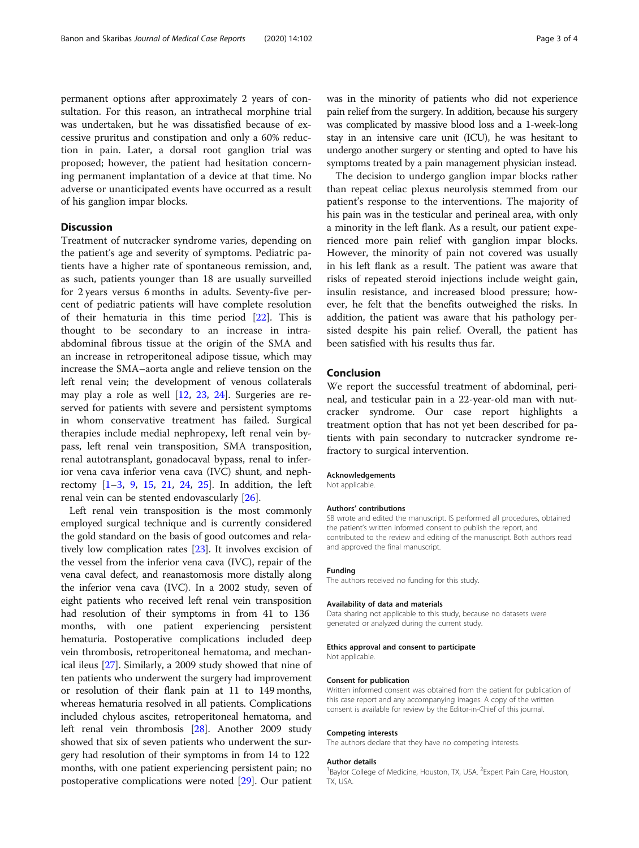permanent options after approximately 2 years of consultation. For this reason, an intrathecal morphine trial was undertaken, but he was dissatisfied because of excessive pruritus and constipation and only a 60% reduction in pain. Later, a dorsal root ganglion trial was proposed; however, the patient had hesitation concerning permanent implantation of a device at that time. No adverse or unanticipated events have occurred as a result of his ganglion impar blocks.

## **Discussion**

Treatment of nutcracker syndrome varies, depending on the patient's age and severity of symptoms. Pediatric patients have a higher rate of spontaneous remission, and, as such, patients younger than 18 are usually surveilled for 2 years versus 6 months in adults. Seventy-five percent of pediatric patients will have complete resolution of their hematuria in this time period [[22](#page-3-0)]. This is thought to be secondary to an increase in intraabdominal fibrous tissue at the origin of the SMA and an increase in retroperitoneal adipose tissue, which may increase the SMA–aorta angle and relieve tension on the left renal vein; the development of venous collaterals may play a role as well [\[12](#page-3-0), [23,](#page-3-0) [24](#page-3-0)]. Surgeries are reserved for patients with severe and persistent symptoms in whom conservative treatment has failed. Surgical therapies include medial nephropexy, left renal vein bypass, left renal vein transposition, SMA transposition, renal autotransplant, gonadocaval bypass, renal to inferior vena cava inferior vena cava (IVC) shunt, and nephrectomy [\[1](#page-3-0)–[3](#page-3-0), [9](#page-3-0), [15](#page-3-0), [21](#page-3-0), [24](#page-3-0), [25](#page-3-0)]. In addition, the left renal vein can be stented endovascularly [\[26](#page-3-0)].

Left renal vein transposition is the most commonly employed surgical technique and is currently considered the gold standard on the basis of good outcomes and relatively low complication rates [[23](#page-3-0)]. It involves excision of the vessel from the inferior vena cava (IVC), repair of the vena caval defect, and reanastomosis more distally along the inferior vena cava (IVC). In a 2002 study, seven of eight patients who received left renal vein transposition had resolution of their symptoms in from 41 to 136 months, with one patient experiencing persistent hematuria. Postoperative complications included deep vein thrombosis, retroperitoneal hematoma, and mechanical ileus [[27](#page-3-0)]. Similarly, a 2009 study showed that nine of ten patients who underwent the surgery had improvement or resolution of their flank pain at 11 to 149 months, whereas hematuria resolved in all patients. Complications included chylous ascites, retroperitoneal hematoma, and left renal vein thrombosis [\[28\]](#page-3-0). Another 2009 study showed that six of seven patients who underwent the surgery had resolution of their symptoms in from 14 to 122 months, with one patient experiencing persistent pain; no postoperative complications were noted [[29](#page-3-0)]. Our patient

was in the minority of patients who did not experience pain relief from the surgery. In addition, because his surgery was complicated by massive blood loss and a 1-week-long stay in an intensive care unit (ICU), he was hesitant to undergo another surgery or stenting and opted to have his symptoms treated by a pain management physician instead.

The decision to undergo ganglion impar blocks rather than repeat celiac plexus neurolysis stemmed from our patient's response to the interventions. The majority of his pain was in the testicular and perineal area, with only a minority in the left flank. As a result, our patient experienced more pain relief with ganglion impar blocks. However, the minority of pain not covered was usually in his left flank as a result. The patient was aware that risks of repeated steroid injections include weight gain, insulin resistance, and increased blood pressure; however, he felt that the benefits outweighed the risks. In addition, the patient was aware that his pathology persisted despite his pain relief. Overall, the patient has been satisfied with his results thus far.

## Conclusion

We report the successful treatment of abdominal, perineal, and testicular pain in a 22-year-old man with nutcracker syndrome. Our case report highlights a treatment option that has not yet been described for patients with pain secondary to nutcracker syndrome refractory to surgical intervention.

## Acknowledgements

Not applicable.

#### Authors' contributions

SB wrote and edited the manuscript. IS performed all procedures, obtained the patient's written informed consent to publish the report, and contributed to the review and editing of the manuscript. Both authors read and approved the final manuscript.

#### Funding

The authors received no funding for this study.

#### Availability of data and materials

Data sharing not applicable to this study, because no datasets were generated or analyzed during the current study.

#### Ethics approval and consent to participate

Not applicable.

#### Consent for publication

Written informed consent was obtained from the patient for publication of this case report and any accompanying images. A copy of the written consent is available for review by the Editor-in-Chief of this journal.

#### Competing interests

The authors declare that they have no competing interests.

#### Author details

<sup>1</sup>Baylor College of Medicine, Houston, TX, USA. <sup>2</sup>Expert Pain Care, Houston, TX, USA.